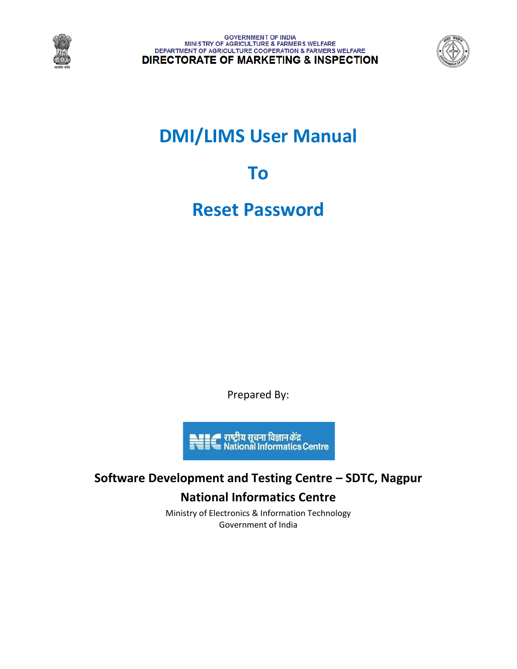



# **DMI/LIMS User Manual**

**To**

**Reset Password**

Prepared By:



## **Software Development and Testing Centre – SDTC, Nagpur National Informatics Centre**

Ministry of Electronics & Information Technology Government of India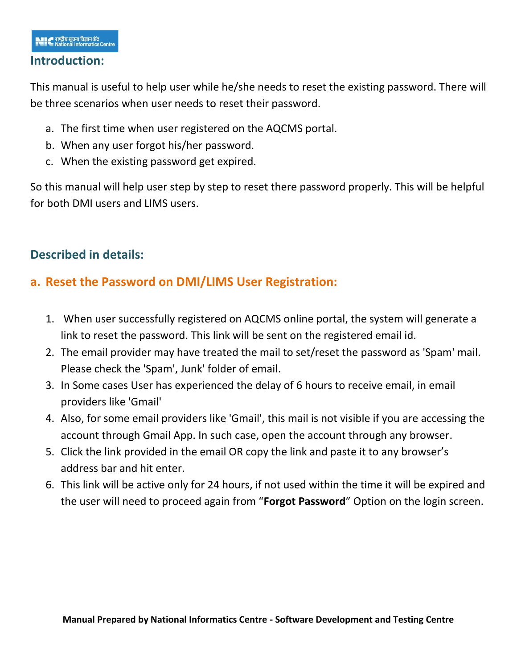#### **Introduction:**

This manual is useful to help user while he/she needs to reset the existing password. There will be three scenarios when user needs to reset their password.

- a. The first time when user registered on the AQCMS portal.
- b. When any user forgot his/her password.
- c. When the existing password get expired.

So this manual will help user step by step to reset there password properly. This will be helpful for both DMI users and LIMS users.

## **Described in details:**

## **a. Reset the Password on DMI/LIMS User Registration:**

- 1. When user successfully registered on AQCMS online portal, the system will generate a link to reset the password. This link will be sent on the registered email id.
- 2. The email provider may have treated the mail to set/reset the password as 'Spam' mail. Please check the 'Spam', Junk' folder of email.
- 3. In Some cases User has experienced the delay of 6 hours to receive email, in email providers like 'Gmail'
- 4. Also, for some email providers like 'Gmail', this mail is not visible if you are accessing the account through Gmail App. In such case, open the account through any browser.
- 5. Click the link provided in the email OR copy the link and paste it to any browser's address bar and hit enter.
- 6. This link will be active only for 24 hours, if not used within the time it will be expired and the user will need to proceed again from "**Forgot Password**" Option on the login screen.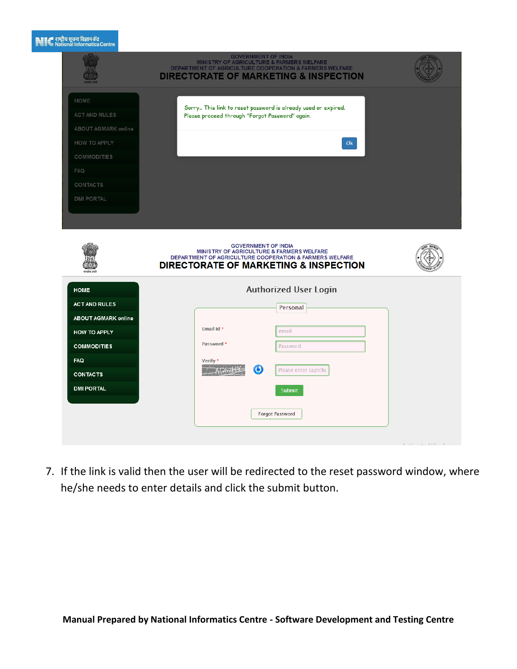#### $\sum_{n=1}^{\infty}$  राष्ट्रीय सूचना विज्ञान केंद्र

|                                                                          | <b>GOVERNMENT OF INDIA</b><br>MINISTRY OF AGRICULTURE & FARMERS WELFARE<br>DEPARTMENT OF AGRICULTURE COOPERATION & FARMERS WELFARE<br><b>DIRECTORATE OF MARKETING &amp; INSPECTION</b> |  |
|--------------------------------------------------------------------------|----------------------------------------------------------------------------------------------------------------------------------------------------------------------------------------|--|
| HOME<br><b>ACT AND RULES</b><br>ABOUT AGMARK online<br>HOW TO APPLY      | Sorry This link to reset password is already used or expired.<br>Please proceed through "Forgot Password" again.<br>Ok.                                                                |  |
| <b>COMMODITIES</b><br><b>FAQ</b><br><b>CONTACTS</b><br><b>DMI PORTAL</b> |                                                                                                                                                                                        |  |
|                                                                          | <b>GOVERNMENT OF INDIA</b><br>MINISTRY OF AGRICULTURE & FARMERS WELFARE<br>DEPARTMENT OF AGRICULTURE COOPERATION & FARMERS WELFARE<br><b>DIRECTORATE OF MARKETING &amp; INSPECTION</b> |  |
| <b>HOME</b><br><b>ACT AND RULES</b>                                      | <b>Authorized User Login</b><br>Personal                                                                                                                                               |  |
| <b>ABOUT AGMARK online</b><br><b>HOW TO APPLY</b><br><b>COMMODITIES</b>  | Email Id *<br>email<br>Password *<br>Password                                                                                                                                          |  |
| FAQ<br><b>CONTACTS</b><br><b>DMI PORTAL</b>                              | Verify *<br>$\bullet$<br>Please enter captcha<br>AG62<br>Submit                                                                                                                        |  |
|                                                                          | Forgot Password                                                                                                                                                                        |  |

7. If the link is valid then the user will be redirected to the reset password window, where he/she needs to enter details and click the submit button.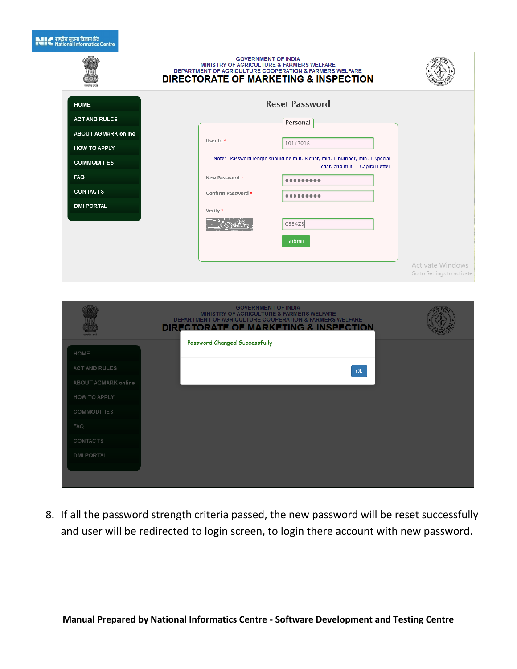## हार्टी राष्ट्रीय सूचना विज्ञान केंद्र<br>बाह्य Rational Informatics Centre

|                            | <b>GOVERNMENT OF INDIA</b><br>MINISTRY OF AGRICULTURE & FARMERS WELFARE<br>DEPARTMENT OF AGRICULTURE COOPERATION & FARMERS WELFARE<br><b>DIRECTORATE OF MARKETING &amp; INSPECTION</b> |                                                       |
|----------------------------|----------------------------------------------------------------------------------------------------------------------------------------------------------------------------------------|-------------------------------------------------------|
| <b>HOME</b>                | <b>Reset Password</b>                                                                                                                                                                  |                                                       |
| <b>ACT AND RULES</b>       | Personal                                                                                                                                                                               |                                                       |
| <b>ABOUT AGMARK online</b> | User Id *<br>101/2018                                                                                                                                                                  |                                                       |
| HOW TO APPLY               | Note:- Password length should be min. 8 char, min. 1 number, min. 1 Special                                                                                                            |                                                       |
| <b>COMMODITIES</b>         | char. and min. 1 Capital Letter                                                                                                                                                        |                                                       |
| FAQ                        | New Password *<br>                                                                                                                                                                     |                                                       |
| <b>CONTACTS</b>            | Confirm Password *<br>-------                                                                                                                                                          |                                                       |
| <b>DMI PORTAL</b>          | Verify *                                                                                                                                                                               |                                                       |
|                            | C534Z3                                                                                                                                                                                 |                                                       |
|                            | Submit                                                                                                                                                                                 |                                                       |
|                            |                                                                                                                                                                                        |                                                       |
|                            |                                                                                                                                                                                        | <b>Activate Windows</b><br>Go to Settings to activate |
|                            |                                                                                                                                                                                        |                                                       |
|                            | <b>GOVERNMENT OF INDIA</b>                                                                                                                                                             |                                                       |
|                            | MINISTRY OF AGRICULTURE & FARMERS WELFARE<br>DEPARTMENT OF AGRICULTURE COOPERATION & FARMERS WELFARE                                                                                   |                                                       |
|                            | DIRECTORATE OF MARKETING & INSPECTION                                                                                                                                                  |                                                       |
|                            | Password Changed Successfully                                                                                                                                                          |                                                       |
| HOME                       |                                                                                                                                                                                        |                                                       |
| <b>ACT AND RULES</b>       | Ok                                                                                                                                                                                     |                                                       |
| ABOUT AGMARK online        |                                                                                                                                                                                        |                                                       |
| <b>HOW TO APPLY</b>        |                                                                                                                                                                                        |                                                       |
| <b>COMMODITIES</b>         |                                                                                                                                                                                        |                                                       |
| <b>FAQ</b>                 |                                                                                                                                                                                        |                                                       |
| <b>CONTACTS</b>            |                                                                                                                                                                                        |                                                       |
| <b>DMI PORTAL</b>          |                                                                                                                                                                                        |                                                       |
|                            |                                                                                                                                                                                        |                                                       |

8. If all the password strength criteria passed, the new password will be reset successfully and user will be redirected to login screen, to login there account with new password.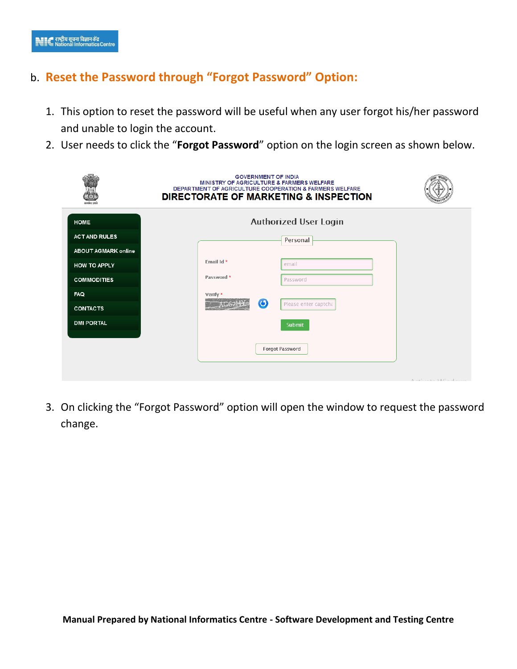## b. **Reset the Password through "Forgot Password" Option:**

- 1. This option to reset the password will be useful when any user forgot his/her password and unable to login the account.
- 2. User needs to click the "**Forgot Password**" option on the login screen as shown below.

|                            | <b>GOVERNMENT OF INDIA</b><br>MINISTRY OF AGRICULTURE & FARMERS WELFARE<br>DEPARTMENT OF AGRICULTURE COOPERATION & FARMERS WELFARE<br><b>DIRECTORATE OF MARKETING &amp; INSPECTION</b> |                                                                                           |
|----------------------------|----------------------------------------------------------------------------------------------------------------------------------------------------------------------------------------|-------------------------------------------------------------------------------------------|
| <b>HOME</b>                | <b>Authorized User Login</b>                                                                                                                                                           |                                                                                           |
| <b>ACT AND RULES</b>       | Personal                                                                                                                                                                               |                                                                                           |
| <b>ABOUT AGMARK online</b> |                                                                                                                                                                                        |                                                                                           |
| <b>HOW TO APPLY</b>        | Email Id *<br>email                                                                                                                                                                    |                                                                                           |
| <b>COMMODITIES</b>         | Password *<br>Password                                                                                                                                                                 |                                                                                           |
| <b>FAQ</b>                 | Verify *                                                                                                                                                                               |                                                                                           |
| <b>CONTACTS</b>            | $\bigodot$<br>Please enter captcha                                                                                                                                                     |                                                                                           |
| <b>DMI PORTAL</b>          | Submit                                                                                                                                                                                 |                                                                                           |
|                            |                                                                                                                                                                                        |                                                                                           |
|                            | Forgot Password                                                                                                                                                                        |                                                                                           |
|                            |                                                                                                                                                                                        |                                                                                           |
|                            |                                                                                                                                                                                        | $\wedge$ $\pm$ $\cdots$ $\pm$ $\pm$ $\wedge$ $\wedge$ $\cdots$ $\pm$ $\pm$ $\cdots$ $\pm$ |

3. On clicking the "Forgot Password" option will open the window to request the password change.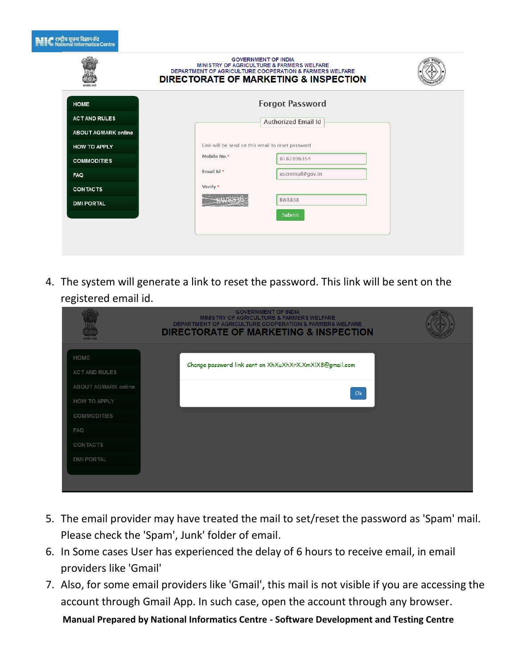|  | <b>⊾≣≣∠=</b> राष्ट्रीय सूचना विज्ञान केंद्र |                                 |
|--|---------------------------------------------|---------------------------------|
|  |                                             |                                 |
|  |                                             |                                 |
|  |                                             |                                 |
|  |                                             | ≣''' National Informatics Centr |

|                            | <b>GOVERNMENT OF INDIA</b><br>MINISTRY OF AGRICULTURE & FARMERS WELFARE<br>DEPARTMENT OF AGRICULTURE COOPERATION & FARMERS WELFARE<br><b>DIRECTORATE OF MARKETING &amp; INSPECTION</b> |  |
|----------------------------|----------------------------------------------------------------------------------------------------------------------------------------------------------------------------------------|--|
| <b>HOME</b>                | <b>Forgot Password</b>                                                                                                                                                                 |  |
| <b>ACT AND RULES</b>       | Authorized Email Id                                                                                                                                                                    |  |
| <b>ABOUT AGMARK online</b> |                                                                                                                                                                                        |  |
| <b>HOW TO APPLY</b>        | Link will be send on this email to reset password                                                                                                                                      |  |
| <b>COMMODITIES</b>         | Mobile No.*<br>8182896354                                                                                                                                                              |  |
| <b>FAQ</b>                 | Email Id *<br>useremail@gov.in                                                                                                                                                         |  |
| <b>CONTACTS</b>            | Verify *                                                                                                                                                                               |  |
| <b>DMI PORTAL</b>          | <b>BW8838</b>                                                                                                                                                                          |  |
|                            | Submit                                                                                                                                                                                 |  |
|                            |                                                                                                                                                                                        |  |
|                            |                                                                                                                                                                                        |  |

4. The system will generate a link to reset the password. This link will be sent on the registered email id.

| सन्यमेव जयले                                 | <b>GOVERNMENT OF INDIA</b><br><b>MINISTRY OF AGRICULTURE &amp; FARMERS WELFARE</b><br><b>DEPARTMENT OF AGRICULTURE COOPERATION &amp; FARMERS WELFARE</b><br><b>DIRECTORATE OF MARKETING &amp; INSPECTION</b> |  |
|----------------------------------------------|--------------------------------------------------------------------------------------------------------------------------------------------------------------------------------------------------------------|--|
| HOME<br>ACT AND RULES<br>ABOUT AGMARK online | Change password link sent on XhXuXhXrX.XmXlX8@gmail.com<br>Ok                                                                                                                                                |  |
| <b>HOW TO APPLY</b><br>COMMODITIES           |                                                                                                                                                                                                              |  |
| <b>FAQ</b><br>CONTACTS<br><b>DMI PORTAL</b>  |                                                                                                                                                                                                              |  |
|                                              |                                                                                                                                                                                                              |  |

- 5. The email provider may have treated the mail to set/reset the password as 'Spam' mail. Please check the 'Spam', Junk' folder of email.
- 6. In Some cases User has experienced the delay of 6 hours to receive email, in email providers like 'Gmail'
- 7. Also, for some email providers like 'Gmail', this mail is not visible if you are accessing the account through Gmail App. In such case, open the account through any browser.

**Manual Prepared by National Informatics Centre - Software Development and Testing Centre**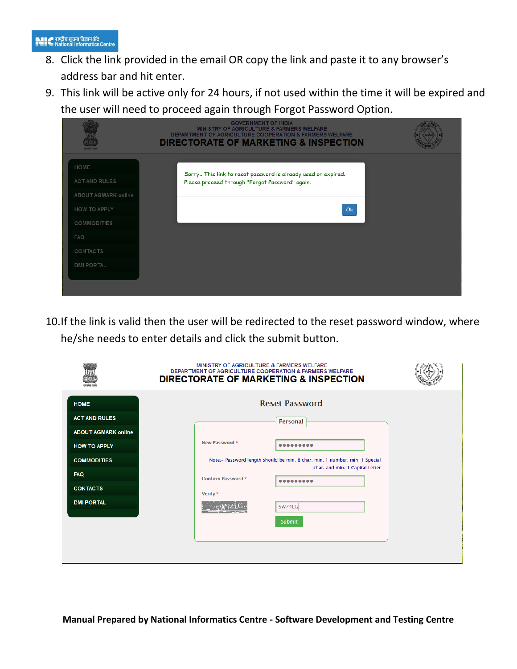- 8. Click the link provided in the email OR copy the link and paste it to any browser's address bar and hit enter.
- 9. This link will be active only for 24 hours, if not used within the time it will be expired and the user will need to proceed again through Forgot Password Option.

|                                      | <b>GOVERNMENT OF INDIA</b><br><b>MINISTRY OF AGRICULTURE &amp; FARMERS WELFARE</b><br><b>DEPARTMENT OF AGRICULTURE COOPERATION &amp; FARMERS WELFARE</b><br><b>DIRECTORATE OF MARKETING &amp; INSPECTION</b> |  |
|--------------------------------------|--------------------------------------------------------------------------------------------------------------------------------------------------------------------------------------------------------------|--|
| HOME                                 | Sorry This link to reset password is already used or expired.                                                                                                                                                |  |
| ACT AND RULES<br>ABOUT AGMARK online | Please proceed through "Forgot Password" again.                                                                                                                                                              |  |
| <b>HOW TO APPLY</b>                  | Ok                                                                                                                                                                                                           |  |
| <b>COMMODITIES</b><br><b>FAQ</b>     |                                                                                                                                                                                                              |  |
| <b>CONTACTS</b>                      |                                                                                                                                                                                                              |  |
| <b>DMI PORTAL</b>                    |                                                                                                                                                                                                              |  |
|                                      |                                                                                                                                                                                                              |  |

10.If the link is valid then the user will be redirected to the reset password window, where he/she needs to enter details and click the submit button.

|                            | MINISTRY OF AGRICULTURE & FARMERS WELFARE<br>DEPARTMENT OF AGRICULTURE COOPERATION & FARMERS WELFARE<br><b>DIRECTORATE OF MARKETING &amp; INSPECTION</b> |
|----------------------------|----------------------------------------------------------------------------------------------------------------------------------------------------------|
| <b>HOME</b>                | <b>Reset Password</b>                                                                                                                                    |
| <b>ACT AND RULES</b>       | Personal                                                                                                                                                 |
| <b>ABOUT AGMARK online</b> |                                                                                                                                                          |
| <b>HOW TO APPLY</b>        | New Password *                                                                                                                                           |
| <b>COMMODITIES</b>         | Note:- Password length should be min. 8 char, min. 1 number, min. 1 Special                                                                              |
| <b>FAQ</b>                 | char. and min. 1 Capital Letter<br>Confirm Password *                                                                                                    |
| <b>CONTACTS</b>            |                                                                                                                                                          |
| <b>DMI PORTAL</b>          | Verify *                                                                                                                                                 |
|                            | 5W74LG                                                                                                                                                   |
|                            | Submit                                                                                                                                                   |
|                            |                                                                                                                                                          |
|                            |                                                                                                                                                          |
|                            |                                                                                                                                                          |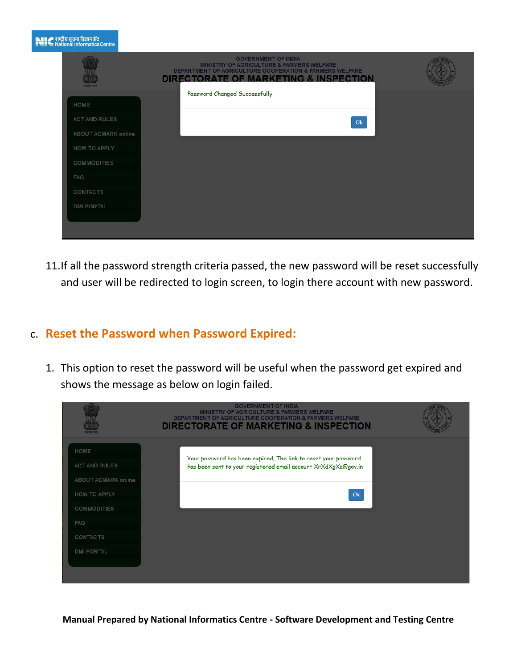|                      | <b>GOVERNMENT OF INDIA</b><br>MINISTRY OF AGRICULTURE & FARMERS WELFARE<br><b>DEPARTMENT OF AGRICULTURE COOPERATION &amp; FARMERS WELFARE</b><br><b>DIRECTORATE OF MARKETING &amp; INSPECTION</b> |
|----------------------|---------------------------------------------------------------------------------------------------------------------------------------------------------------------------------------------------|
| HOME                 | Password Changed Successfully                                                                                                                                                                     |
| <b>ACT AND RULES</b> | Ok                                                                                                                                                                                                |
| ABOUT AGMARK online  |                                                                                                                                                                                                   |
| HOW TO APPLY         |                                                                                                                                                                                                   |
| COMMODITIES          |                                                                                                                                                                                                   |
| <b>FAQ</b>           |                                                                                                                                                                                                   |
| CONTACTS             |                                                                                                                                                                                                   |
| <b>DMI PORTAL</b>    |                                                                                                                                                                                                   |

11.If all the password strength criteria passed, the new password will be reset successfully and user will be redirected to login screen, to login there account with new password.

## c. **Reset the Password when Password Expired:**

1. This option to reset the password will be useful when the password get expired and shows the message as below on login failed.

| <b>MINISTRY OF AGRICULTURE &amp; FARMERS WELFARE</b><br><b>DEPARTMENT OF AGRICULTURE COOPERATION &amp; FARMERS WELFARE</b><br><b>DIRECTORATE OF MARKETING &amp; INSPECTION</b>                                                                                                             |  |
|--------------------------------------------------------------------------------------------------------------------------------------------------------------------------------------------------------------------------------------------------------------------------------------------|--|
| HOME<br>Your password has been expired, The link to reset your password<br><b>ACT AND RULES</b><br>has been sent to your registered email account XrXdXgXa@gov.in<br>ABOUT AGMARK online<br>HOW TO APPLY<br>Ok<br><b>COMMODITIES</b><br><b>FAQ</b><br><b>CONTACTS</b><br><b>DMI PORTAL</b> |  |

**Manual Prepared by National Informatics Centre - Software Development and Testing Centre**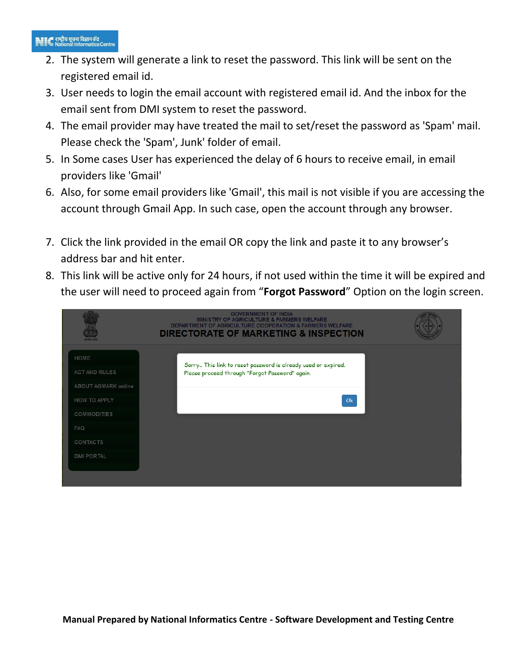#### 

- 2. The system will generate a link to reset the password. This link will be sent on the registered email id.
- 3. User needs to login the email account with registered email id. And the inbox for the email sent from DMI system to reset the password.
- 4. The email provider may have treated the mail to set/reset the password as 'Spam' mail. Please check the 'Spam', Junk' folder of email.
- 5. In Some cases User has experienced the delay of 6 hours to receive email, in email providers like 'Gmail'
- 6. Also, for some email providers like 'Gmail', this mail is not visible if you are accessing the account through Gmail App. In such case, open the account through any browser.
- 7. Click the link provided in the email OR copy the link and paste it to any browser's address bar and hit enter.
- 8. This link will be active only for 24 hours, if not used within the time it will be expired and the user will need to proceed again from "**Forgot Password**" Option on the login screen.

|                                                                  | <b>GOVERNMENT OF INDIA</b><br><b>MINISTRY OF AGRICULTURE &amp; FARMERS WELFARE</b><br><b>DEPARTMENT OF AGRICULTURE COOPERATION &amp; FARMERS WELFARE</b><br><b>DIRECTORATE OF MARKETING &amp; INSPECTION</b> |  |
|------------------------------------------------------------------|--------------------------------------------------------------------------------------------------------------------------------------------------------------------------------------------------------------|--|
| HOME<br><b>ACT AND RULES</b>                                     | Sorry This link to reset password is already used or expired.<br>Please proceed through "Forgot Password" again.                                                                                             |  |
| ABOUT AGMARK online<br><b>HOW TO APPLY</b><br><b>COMMODITIES</b> | Ok                                                                                                                                                                                                           |  |
| FAQ                                                              |                                                                                                                                                                                                              |  |
| <b>CONTACTS</b><br><b>DMI PORTAL</b>                             |                                                                                                                                                                                                              |  |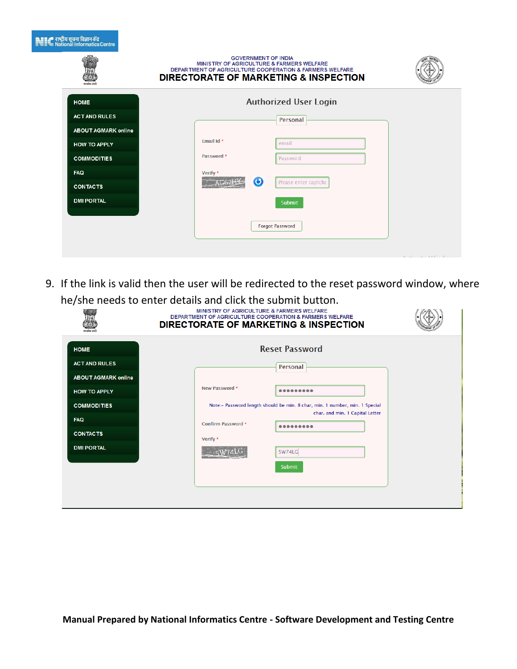| $\blacksquare$ राष्ट्रीय सूचना विज्ञान केंद्र<br>बाल्लिका Informatics Centre |                            |                                                                         |                                                                                                             |  |
|------------------------------------------------------------------------------|----------------------------|-------------------------------------------------------------------------|-------------------------------------------------------------------------------------------------------------|--|
|                                                                              |                            | <b>GOVERNMENT OF INDIA</b><br>MINISTRY OF AGRICULTURE & FARMERS WELFARE | DEPARTMENT OF AGRICULTURE COOPERATION & FARMERS WELFARE<br><b>DIRECTORATE OF MARKETING &amp; INSPECTION</b> |  |
| <b>HOME</b>                                                                  |                            |                                                                         | <b>Authorized User Login</b>                                                                                |  |
| <b>ACT AND RULES</b>                                                         |                            |                                                                         | Personal                                                                                                    |  |
|                                                                              | <b>ABOUT AGMARK online</b> |                                                                         |                                                                                                             |  |
| <b>HOW TO APPLY</b>                                                          |                            | Fmail Id *                                                              | email                                                                                                       |  |
| <b>COMMODITIES</b>                                                           |                            | Password *                                                              | Password                                                                                                    |  |
| <b>FAQ</b>                                                                   |                            | Verify *                                                                |                                                                                                             |  |
| <b>CONTACTS</b>                                                              |                            | $\boldsymbol{\omega}$                                                   | Please enter captcha                                                                                        |  |
| <b>DMI PORTAL</b>                                                            |                            |                                                                         | Submit                                                                                                      |  |
|                                                                              |                            |                                                                         | Forgot Password                                                                                             |  |
|                                                                              |                            |                                                                         |                                                                                                             |  |

9. If the link is valid then the user will be redirected to the reset password window, where he/she needs to enter details and click the submit button.

|                            | MINISTRY OF AGRICULTURE & FARMERS WELFARE<br>DEPARTMENT OF AGRICULTURE COOPERATION & FARMERS WELFARE<br><b>DIRECTORATE OF MARKETING &amp; INSPECTION</b> |  |
|----------------------------|----------------------------------------------------------------------------------------------------------------------------------------------------------|--|
| <b>HOME</b>                | <b>Reset Password</b>                                                                                                                                    |  |
| <b>ACT AND RULES</b>       | Personal                                                                                                                                                 |  |
| <b>ABOUT AGMARK online</b> |                                                                                                                                                          |  |
| <b>HOW TO APPLY</b>        | New Password *<br>                                                                                                                                       |  |
| <b>COMMODITIES</b>         | Note:- Password length should be min. 8 char, min. 1 number, min. 1 Special                                                                              |  |
| <b>FAQ</b>                 | char. and min. 1 Capital Letter<br><b>Confirm Password *</b>                                                                                             |  |
| <b>CONTACTS</b>            | Verify *                                                                                                                                                 |  |
| <b>DMI PORTAL</b>          | 5W74LG                                                                                                                                                   |  |
|                            | Submit                                                                                                                                                   |  |
|                            |                                                                                                                                                          |  |
|                            |                                                                                                                                                          |  |
|                            |                                                                                                                                                          |  |